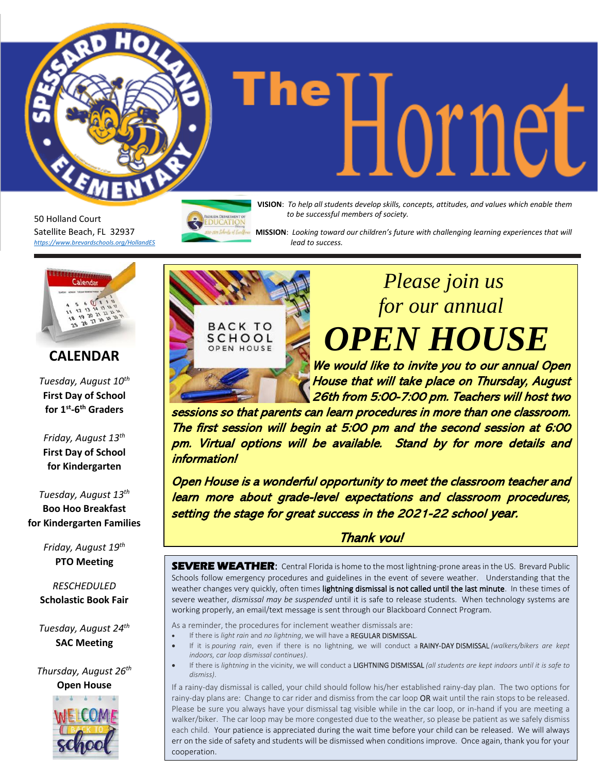50 Holland Court Satellite Beach, FL 32937 *<https://www.brevardschools.org/HollandES>* **The Help all students develop skills, concepts, attitudes, and values which enable them** *to be successful members of society.*

 **MISSION**: *Looking toward our children's future with challenging learning experiences that will lead to success.*



### **CALENDAR**

*Tuesday, August 10th* **First Day of School for 1st -6 th Graders** 

*Friday, August 13th* **First Day of School for Kindergarten**

*Tuesday, August 13 th* **Boo Hoo Breakfast for Kindergarten Families**

> *Friday, August 19 th* **PTO Meeting**

*RESCHEDULED* **Scholastic Book Fair**

*Tuesday, August 24th* **SAC Meeting**

*Thursday, August 26th* **Open House**





## *Please join us for our annual OPEN HOUSE*

We would like to invite you to our annual Open House that will take place on Thursday, August 26th from 5:00-7:00 pm. Teachers will host two

sessions so that parents can learn procedures in more than one classroom. The first session will begin at 5:00 pm and the second session at 6:00 pm. Virtual options will be available. Stand by for more details and information!

Open House is a wonderful opportunity to meet the classroom teacher and learn more about grade-level expectations and classroom procedures, setting the stage for great success in the 2021-22 school year.

#### Thank you!

**SEVERE WEATHER:** Central Florida is home to the most lightning-prone areas in the US. Brevard Public Schools follow emergency procedures and guidelines in the event of severe weather. Understanding that the weather changes very quickly, often times lightning dismissal is not called until the last minute. In these times of severe weather, *dismissal may be suspended* until it is safe to release students. When technology systems are working properly, an email/text message is sent through our Blackboard Connect Program.

As a reminder, the procedures for inclement weather dismissals are:

- If there is *light rain* and *no lightning*, we will have a REGULAR DISMISSAL.
- If it is *pouring rain*, even if there is no lightning, we will conduct a RAINY-DAY DISMISSAL *(walkers/bikers are kept indoors, car loop dismissal continues)*.
- If there is *lightning* in the vicinity, we will conduct a LIGHTNING DISMISSAL *(all students are kept indoors until it is safe to dismiss)*.

If a rainy-day dismissal is called, your child should follow his/her established rainy-day plan. The two options for rainy-day plans are: Change to car rider and dismiss from the car loop OR wait until the rain stops to be released. Please be sure you always have your dismissal tag visible while in the car loop, or in-hand if you are meeting a walker/biker. The car loop may be more congested due to the weather, so please be patient as we safely dismiss each child. Your patience is appreciated during the wait time before your child can be released. We will always err on the side of safety and students will be dismissed when conditions improve. Once again, thank you for your cooperation.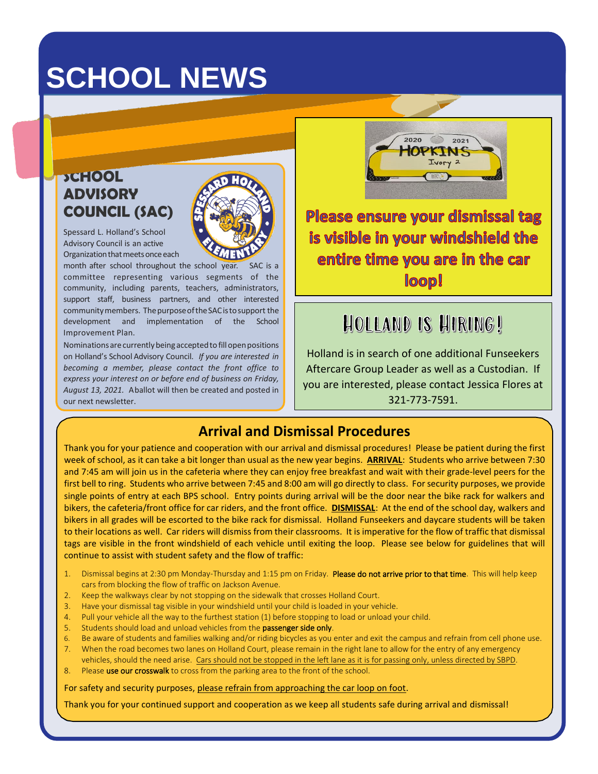# **SCHOOL NEWS**

### **SCHOOL ADVISORY COUNCIL (SAC)**



Spessard L. Holland's School Advisory Council is an active Organization that meets once each

month after school throughout the school year. committee representing various segments of the community, including parents, teachers, administrators, support staff, business partners, and other interested communitymembers. ThepurposeoftheSACistosupport the development and implementation of the School Improvement Plan.

Nominations are currently being accepted to fill open positions on Holland's School Advisory Council. *If you are interested in becoming a member, please contact the front office to express your interest on or before end of business on Friday, August 13, 2021.* Aballot will then be created and posted in our next newsletter.

Please ensure your dismissal tag is visible in your windshield the entire time you are in the car loop!

 $2020$ 

 $2021$ 

Ivory 2

### **HOLLAND IS HIRING!**

Holland is in search of one additional Funseekers Aftercare Group Leader as well as a Custodian. If you are interested, please contact Jessica Flores at 321-773-7591.

#### **Arrival and Dismissal Procedures**

Thank you for your patience and cooperation with our arrival and dismissal procedures! Please be patient during the first week of school, as it can take a bit longer than usual as the new year begins. **ARRIVAL**: Students who arrive between 7:30 and 7:45 am will join us in the cafeteria where they can enjoy free breakfast and wait with their grade-level peers for the first bell to ring. Students who arrive between 7:45 and 8:00 am will go directly to class. For security purposes, we provide single points of entry at each BPS school. Entry points during arrival will be the door near the bike rack for walkers and bikers, the cafeteria/front office for car riders, and the front office. **DISMISSAL**: At the end of the school day, walkers and bikers in all grades will be escorted to the bike rack for dismissal. Holland Funseekers and daycare students will be taken to their locations as well. Car riders will dismiss from their classrooms. It is imperative for the flow of traffic that dismissal tags are visible in the front windshield of each vehicle until exiting the loop. Please see below for guidelines that will continue to assist with student safety and the flow of traffic:

- 1. Dismissal begins at 2:30 pm Monday-Thursday and 1:15 pm on Friday. Please do not arrive prior to that time. This will help keep cars from blocking the flow of traffic on Jackson Avenue.
- 2. Keep the walkways clear by not stopping on the sidewalk that crosses Holland Court.
- 3. Have your dismissal tag visible in your windshield until your child is loaded in your vehicle.
- 4. Pull your vehicle all the way to the furthest station (1) before stopping to load or unload your child.
- 5. Students should load and unload vehicles from the passenger side only.
- 6. Be aware of students and families walking and/or riding bicycles as you enter and exit the campus and refrain from cell phone use. 7. When the road becomes two lanes on Holland Court, please remain in the right lane to allow for the entry of any emergency
- vehicles, should the need arise. Cars should not be stopped in the left lane as it is for passing only, unless directed by SBPD.
- Please use our crosswalk to cross from the parking area to the front of the school.

For safety and security purposes, please refrain from approaching the car loop on foot.

Thank you for your continued support and cooperation as we keep all students safe during arrival and dismissal!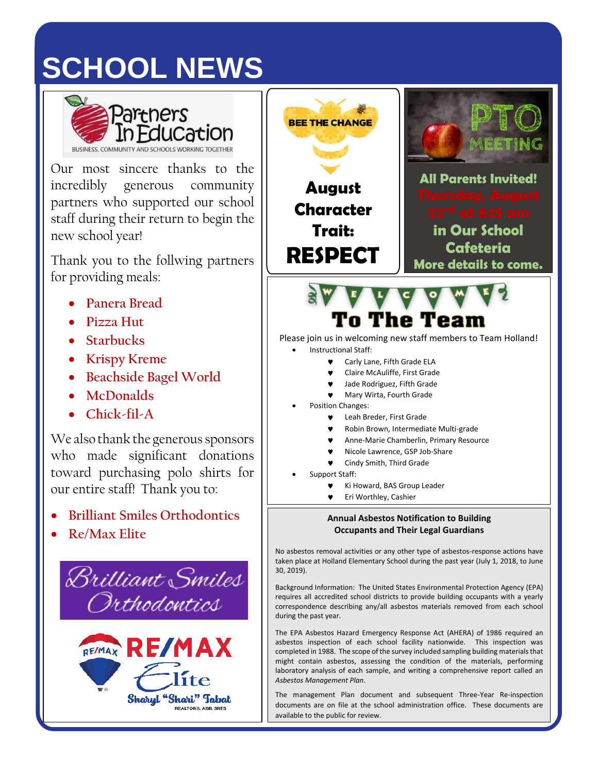# **SCHOOL NEWS**



Our most sincere thanks to the incredibly generous community partners who supported our school staff during their return to begin the new school year!

Thank you to the follwing partners for providing meals:

- **Panera Bread**
- **Pizza Hut**
- **Starbucks**
- **Krispy Kreme**
- **Beachside Bagel World**
- **McDonalds**
- **Chick-fil-A**

We also thank the generous sponsors who made significant donations toward purchasing polo shirts for our entire staff! Thank you to:

- **Brilliant Smiles Orthodontics**
- **Re/Max Elite**





requires all accredited school districts to provide building occupants with a yearly correspondence describing any/all asbestos materials removed from each school during the past year.

The EPA Asbestos Hazard Emergency Response Act (AHERA) of 1986 required an asbestos inspection of each school facility nationwide. This inspection was completed in 1988. The scope of the survey included sampling building materials that might contain asbestos, assessing the condition of the materials, performing laboratory analysis of each sample, and writing a comprehensive report called an *Asbestos Management Plan*.

The management Plan document and subsequent Three-Year Re-inspection documents are on file at the school administration office. These documents are available to the public for review.